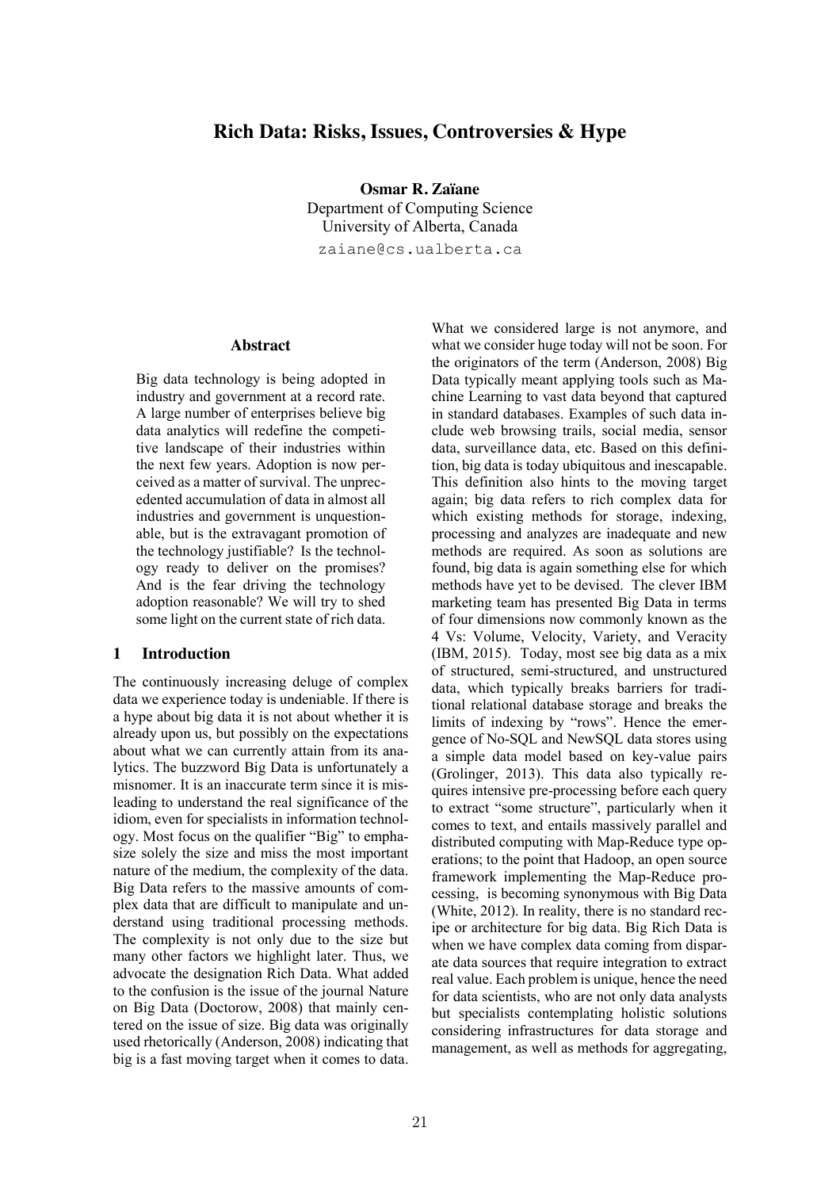# **Rich Data: Risks, Issues, Controversies & Hype**

**Osmar R. Zaïane** Department of Computing Science University of Alberta, Canada zaiane@cs.ualberta.ca

#### **Abstract**

Big data technology is being adopted in industry and government at a record rate. A large number of enterprises believe big data analytics will redefine the competitive landscape of their industries within the next few years. Adoption is now perceived as a matter of survival. The unprecedented accumulation of data in almost all industries and government is unquestionable, but is the extravagant promotion of the technology justifiable? Is the technology ready to deliver on the promises? And is the fear driving the technology adoption reasonable? We will try to shed some light on the current state of rich data.

#### **1 Introduction**

The continuously increasing deluge of complex data we experience today is undeniable. If there is a hype about big data it is not about whether it is already upon us, but possibly on the expectations about what we can currently attain from its analytics. The buzzword Big Data is unfortunately a misnomer. It is an inaccurate term since it is misleading to understand the real significance of the idiom, even for specialists in information technology. Most focus on the qualifier "Big" to emphasize solely the size and miss the most important nature of the medium, the complexity of the data. Big Data refers to the massive amounts of complex data that are difficult to manipulate and understand using traditional processing methods. The complexity is not only due to the size but many other factors we highlight later. Thus, we advocate the designation Rich Data. What added to the confusion is the issue of the journal Nature on Big Data (Doctorow, 2008) that mainly centered on the issue of size. Big data was originally used rhetorically (Anderson, 2008) indicating that big is a fast moving target when it comes to data.

What we considered large is not anymore, and what we consider huge today will not be soon. For the originators of the term (Anderson, 2008) Big Data typically meant applying tools such as Machine Learning to vast data beyond that captured in standard databases. Examples of such data include web browsing trails, social media, sensor data, surveillance data, etc. Based on this definition, big data is today ubiquitous and inescapable. This definition also hints to the moving target again; big data refers to rich complex data for which existing methods for storage, indexing, processing and analyzes are inadequate and new methods are required. As soon as solutions are found, big data is again something else for which methods have yet to be devised. The clever IBM marketing team has presented Big Data in terms of four dimensions now commonly known as the 4 Vs: Volume, Velocity, Variety, and Veracity (IBM, 2015). Today, most see big data as a mix of structured, semi-structured, and unstructured data, which typically breaks barriers for traditional relational database storage and breaks the limits of indexing by "rows". Hence the emergence of No-SQL and NewSQL data stores using a simple data model based on key-value pairs (Grolinger, 2013). This data also typically requires intensive pre-processing before each query to extract "some structure", particularly when it comes to text, and entails massively parallel and distributed computing with Map-Reduce type operations; to the point that Hadoop, an open source framework implementing the Map-Reduce processing, is becoming synonymous with Big Data (White, 2012). In reality, there is no standard recipe or architecture for big data. Big Rich Data is when we have complex data coming from disparate data sources that require integration to extract real value. Each problem is unique, hence the need for data scientists, who are not only data analysts but specialists contemplating holistic solutions considering infrastructures for data storage and management, as well as methods for aggregating,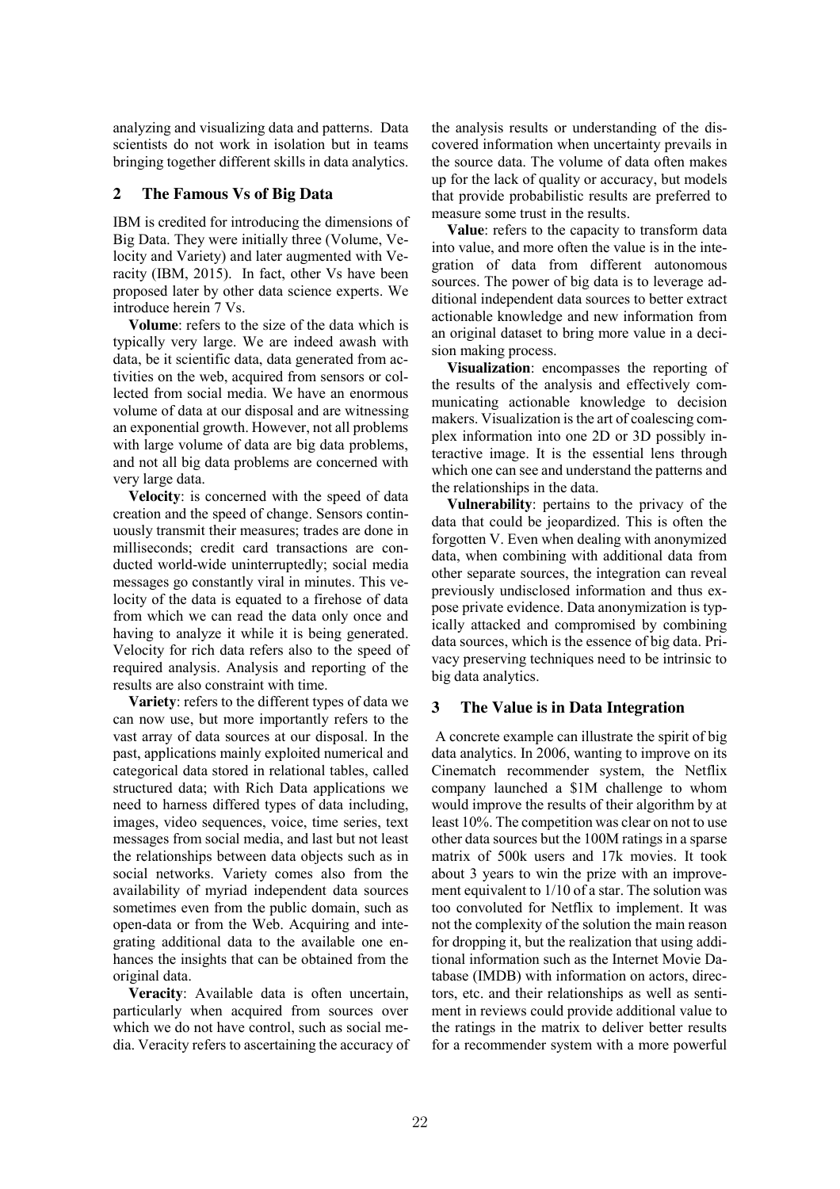analyzing and visualizing data and patterns. Data scientists do not work in isolation but in teams bringing together different skills in data analytics.

# **2 The Famous Vs of Big Data**

IBM is credited for introducing the dimensions of Big Data. They were initially three (Volume, Velocity and Variety) and later augmented with Veracity (IBM, 2015). In fact, other Vs have been proposed later by other data science experts. We introduce herein 7 Vs.

**Volume**: refers to the size of the data which is typically very large. We are indeed awash with data, be it scientific data, data generated from activities on the web, acquired from sensors or collected from social media. We have an enormous volume of data at our disposal and are witnessing an exponential growth. However, not all problems with large volume of data are big data problems, and not all big data problems are concerned with very large data.

**Velocity**: is concerned with the speed of data creation and the speed of change. Sensors continuously transmit their measures; trades are done in milliseconds; credit card transactions are conducted world-wide uninterruptedly; social media messages go constantly viral in minutes. This velocity of the data is equated to a firehose of data from which we can read the data only once and having to analyze it while it is being generated. Velocity for rich data refers also to the speed of required analysis. Analysis and reporting of the results are also constraint with time.

**Variety**: refers to the different types of data we can now use, but more importantly refers to the vast array of data sources at our disposal. In the past, applications mainly exploited numerical and categorical data stored in relational tables, called structured data; with Rich Data applications we need to harness differed types of data including, images, video sequences, voice, time series, text messages from social media, and last but not least the relationships between data objects such as in social networks. Variety comes also from the availability of myriad independent data sources sometimes even from the public domain, such as open-data or from the Web. Acquiring and integrating additional data to the available one enhances the insights that can be obtained from the original data.

**Veracity**: Available data is often uncertain, particularly when acquired from sources over which we do not have control, such as social media. Veracity refers to ascertaining the accuracy of the analysis results or understanding of the discovered information when uncertainty prevails in the source data. The volume of data often makes up for the lack of quality or accuracy, but models that provide probabilistic results are preferred to measure some trust in the results.

**Value**: refers to the capacity to transform data into value, and more often the value is in the integration of data from different autonomous sources. The power of big data is to leverage additional independent data sources to better extract actionable knowledge and new information from an original dataset to bring more value in a decision making process.

**Visualization**: encompasses the reporting of the results of the analysis and effectively communicating actionable knowledge to decision makers. Visualization is the art of coalescing complex information into one 2D or 3D possibly interactive image. It is the essential lens through which one can see and understand the patterns and the relationships in the data.

**Vulnerability**: pertains to the privacy of the data that could be jeopardized. This is often the forgotten V. Even when dealing with anonymized data, when combining with additional data from other separate sources, the integration can reveal previously undisclosed information and thus expose private evidence. Data anonymization is typically attacked and compromised by combining data sources, which is the essence of big data. Privacy preserving techniques need to be intrinsic to big data analytics.

# **3 The Value is in Data Integration**

A concrete example can illustrate the spirit of big data analytics. In 2006, wanting to improve on its Cinematch recommender system, the Netflix company launched a \$1M challenge to whom would improve the results of their algorithm by at least 10%. The competition was clear on not to use other data sources but the 100M ratings in a sparse matrix of 500k users and 17k movies. It took about 3 years to win the prize with an improvement equivalent to 1/10 of a star. The solution was too convoluted for Netflix to implement. It was not the complexity of the solution the main reason for dropping it, but the realization that using additional information such as the Internet Movie Database (IMDB) with information on actors, directors, etc. and their relationships as well as sentiment in reviews could provide additional value to the ratings in the matrix to deliver better results for a recommender system with a more powerful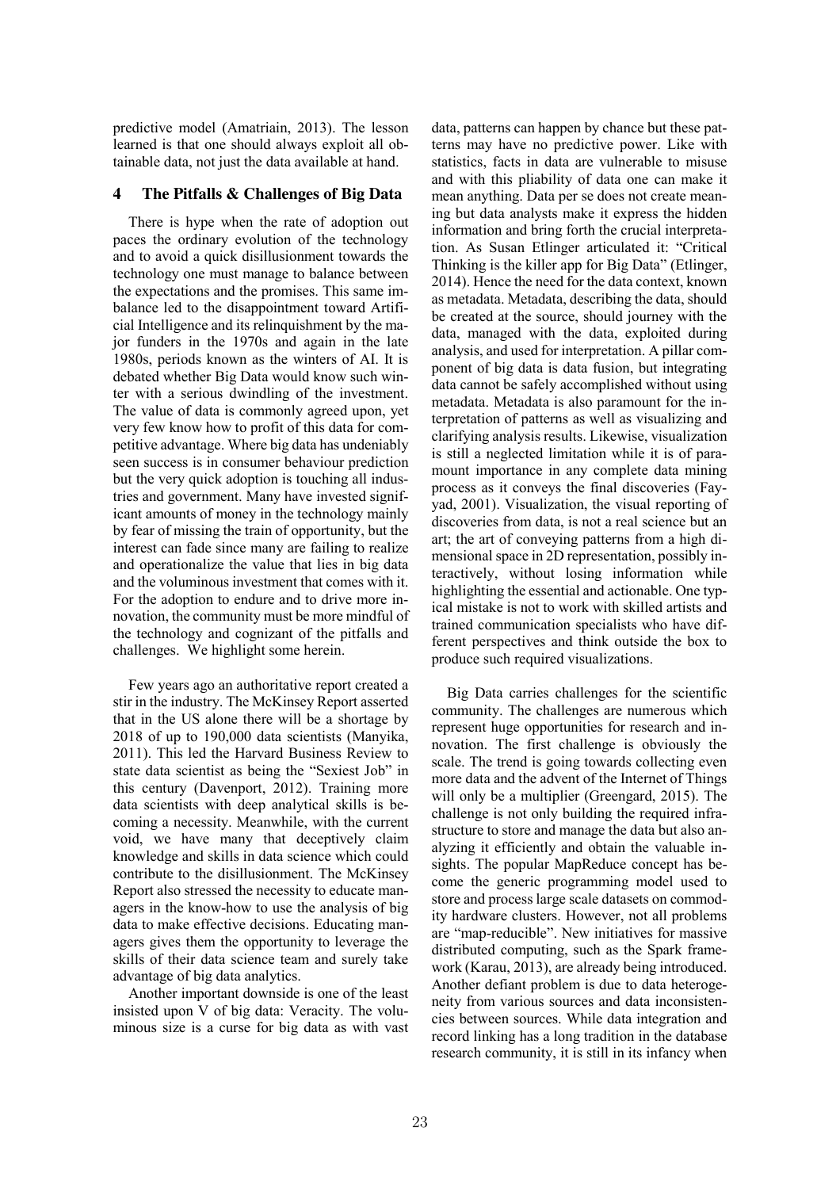predictive model (Amatriain, 2013). The lesson learned is that one should always exploit all obtainable data, not just the data available at hand.

### **4 The Pitfalls & Challenges of Big Data**

There is hype when the rate of adoption out paces the ordinary evolution of the technology and to avoid a quick disillusionment towards the technology one must manage to balance between the expectations and the promises. This same imbalance led to the disappointment toward Artificial Intelligence and its relinquishment by the major funders in the 1970s and again in the late 1980s, periods known as the winters of AI. It is debated whether Big Data would know such winter with a serious dwindling of the investment. The value of data is commonly agreed upon, yet very few know how to profit of this data for competitive advantage. Where big data has undeniably seen success is in consumer behaviour prediction but the very quick adoption is touching all industries and government. Many have invested significant amounts of money in the technology mainly by fear of missing the train of opportunity, but the interest can fade since many are failing to realize and operationalize the value that lies in big data and the voluminous investment that comes with it. For the adoption to endure and to drive more innovation, the community must be more mindful of the technology and cognizant of the pitfalls and challenges. We highlight some herein.

Few years ago an authoritative report created a stir in the industry. The McKinsey Report asserted that in the US alone there will be a shortage by 2018 of up to 190,000 data scientists (Manyika, 2011). This led the Harvard Business Review to state data scientist as being the "Sexiest Job" in this century (Davenport, 2012). Training more data scientists with deep analytical skills is becoming a necessity. Meanwhile, with the current void, we have many that deceptively claim knowledge and skills in data science which could contribute to the disillusionment. The McKinsey Report also stressed the necessity to educate managers in the know-how to use the analysis of big data to make effective decisions. Educating managers gives them the opportunity to leverage the skills of their data science team and surely take advantage of big data analytics.

Another important downside is one of the least insisted upon V of big data: Veracity. The voluminous size is a curse for big data as with vast data, patterns can happen by chance but these patterns may have no predictive power. Like with statistics, facts in data are vulnerable to misuse and with this pliability of data one can make it mean anything. Data per se does not create meaning but data analysts make it express the hidden information and bring forth the crucial interpretation. As Susan Etlinger articulated it: "Critical Thinking is the killer app for Big Data" (Etlinger, 2014). Hence the need for the data context, known as metadata. Metadata, describing the data, should be created at the source, should journey with the data, managed with the data, exploited during analysis, and used for interpretation. A pillar component of big data is data fusion, but integrating data cannot be safely accomplished without using metadata. Metadata is also paramount for the interpretation of patterns as well as visualizing and clarifying analysis results. Likewise, visualization is still a neglected limitation while it is of paramount importance in any complete data mining process as it conveys the final discoveries (Fayyad, 2001). Visualization, the visual reporting of discoveries from data, is not a real science but an art; the art of conveying patterns from a high dimensional space in 2D representation, possibly interactively, without losing information while highlighting the essential and actionable. One typical mistake is not to work with skilled artists and trained communication specialists who have different perspectives and think outside the box to produce such required visualizations.

Big Data carries challenges for the scientific community. The challenges are numerous which represent huge opportunities for research and innovation. The first challenge is obviously the scale. The trend is going towards collecting even more data and the advent of the Internet of Things will only be a multiplier (Greengard, 2015). The challenge is not only building the required infrastructure to store and manage the data but also analyzing it efficiently and obtain the valuable insights. The popular MapReduce concept has become the generic programming model used to store and process large scale datasets on commodity hardware clusters. However, not all problems are "map-reducible". New initiatives for massive distributed computing, such as the Spark framework (Karau, 2013), are already being introduced. Another defiant problem is due to data heterogeneity from various sources and data inconsistencies between sources. While data integration and record linking has a long tradition in the database research community, it is still in its infancy when